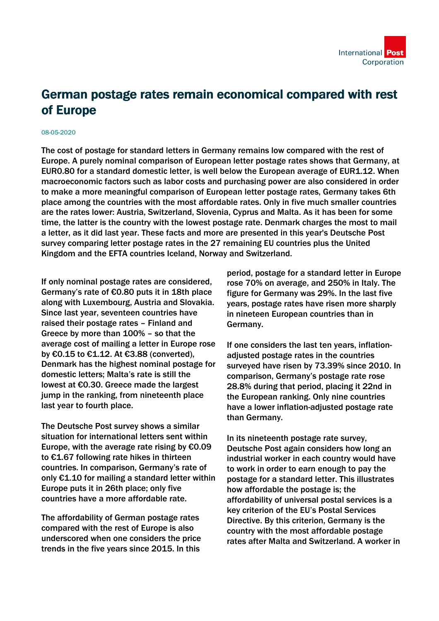

## German postage rates remain economical compared with rest of Europe

## 08-05-2020

The cost of postage for standard letters in Germany remains low compared with the rest of Europe. A purely nominal comparison of European letter postage rates shows that Germany, at EUR0.80 for a standard domestic letter, is well below the European average of EUR1.12. When macroeconomic factors such as labor costs and purchasing power are also considered in order to make a more meaningful comparison of European letter postage rates, Germany takes 6th place among the countries with the most affordable rates. Only in five much smaller countries are the rates lower: Austria, Switzerland, Slovenia, Cyprus and Malta. As it has been for some time, the latter is the country with the lowest postage rate. Denmark charges the most to mail a letter, as it did last year. These facts and more are presented in this year's Deutsche Post survey comparing letter postage rates in the 27 remaining EU countries plus the United Kingdom and the EFTA countries Iceland, Norway and Switzerland.

If only nominal postage rates are considered, Germany's rate of €0.80 puts it in 18th place along with Luxembourg, Austria and Slovakia. Since last year, seventeen countries have raised their postage rates – Finland and Greece by more than 100% – so that the average cost of mailing a letter in Europe rose by €0.15 to €1.12. At €3.88 (converted), Denmark has the highest nominal postage for domestic letters; Malta's rate is still the lowest at €0.30. Greece made the largest jump in the ranking, from nineteenth place last year to fourth place.

The Deutsche Post survey shows a similar situation for international letters sent within Europe, with the average rate rising by  $€0.09$ to €1.67 following rate hikes in thirteen countries. In comparison, Germany's rate of only €1.10 for mailing a standard letter within Europe puts it in 26th place; only five countries have a more affordable rate.

The affordability of German postage rates compared with the rest of Europe is also underscored when one considers the price trends in the five years since 2015. In this

period, postage for a standard letter in Europe rose 70% on average, and 250% in Italy. The figure for Germany was 29%. In the last five years, postage rates have risen more sharply in nineteen European countries than in Germany.

If one considers the last ten years, inflationadjusted postage rates in the countries surveyed have risen by 73.39% since 2010. In comparison, Germany's postage rate rose 28.8% during that period, placing it 22nd in the European ranking. Only nine countries have a lower inflation-adjusted postage rate than Germany.

In its nineteenth postage rate survey, Deutsche Post again considers how long an industrial worker in each country would have to work in order to earn enough to pay the postage for a standard letter. This illustrates how affordable the postage is; the affordability of universal postal services is a key criterion of the EU's Postal Services Directive. By this criterion, Germany is the country with the most affordable postage rates after Malta and Switzerland. A worker in